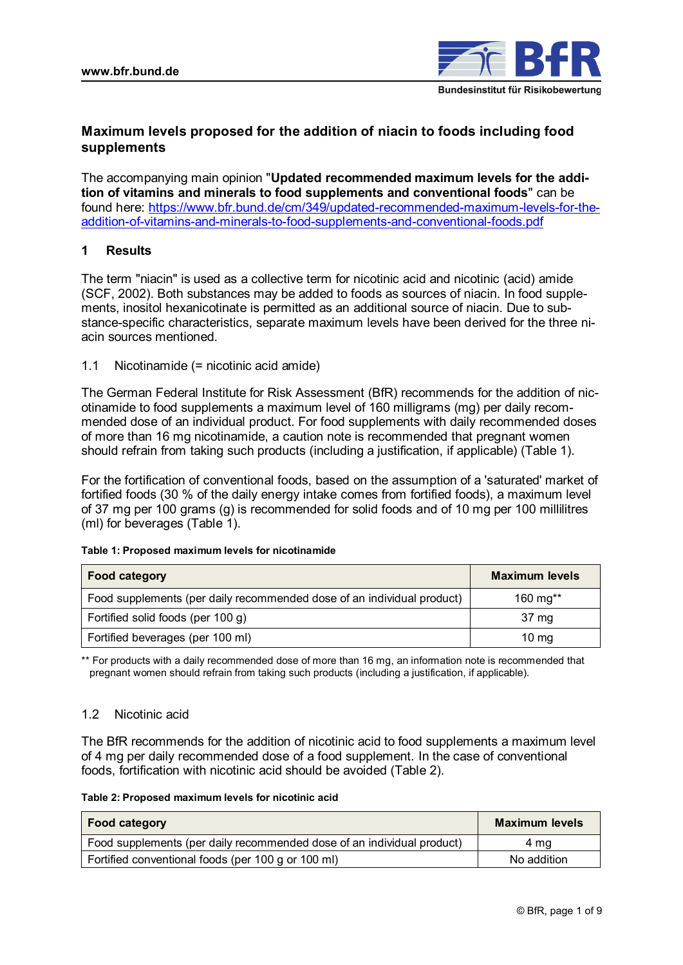

# **Maximum levels proposed for the addition of niacin to foods including food supplements**

The accompanying main opinion "**Updated recommended maximum levels for the addition of vitamins and minerals to food supplements and conventional foods**" can be found here: [https://www.bfr.bund.de/cm/349/updated-recommended-maximum-levels-for-the](https://www.bfr.bund.de/cm/349/updated-recommended-maximum-levels-for-the-addition-of-vitamins-and-minerals-to-food-supplements-and-conventional-foods.pdf)[addition-of-vitamins-and-minerals-to-food-supplements-and-conventional-foods.pdf](https://www.bfr.bund.de/cm/349/updated-recommended-maximum-levels-for-the-addition-of-vitamins-and-minerals-to-food-supplements-and-conventional-foods.pdf)

## **1 Results**

The term "niacin" is used as a collective term for nicotinic acid and nicotinic (acid) amide (SCF, 2002). Both substances may be added to foods as sources of niacin. In food supplements, inositol hexanicotinate is permitted as an additional source of niacin. Due to substance-specific characteristics, separate maximum levels have been derived for the three niacin sources mentioned.

1.1 Nicotinamide (= nicotinic acid amide)

The German Federal Institute for Risk Assessment (BfR) recommends for the addition of nicotinamide to food supplements a maximum level of 160 milligrams (mg) per daily recommended dose of an individual product. For food supplements with daily recommended doses of more than 16 mg nicotinamide, a caution note is recommended that pregnant women should refrain from taking such products (including a justification, if applicable) (Table 1).

For the fortification of conventional foods, based on the assumption of a 'saturated' market of fortified foods (30 % of the daily energy intake comes from fortified foods), a maximum level of 37 mg per 100 grams (g) is recommended for solid foods and of 10 mg per 100 millilitres (ml) for beverages (Table 1).

| <b>Food category</b>                                                   | <b>Maximum levels</b> |
|------------------------------------------------------------------------|-----------------------|
| Food supplements (per daily recommended dose of an individual product) | 160 mg**              |
| Fortified solid foods (per 100 g)                                      | 37 mg                 |
| Fortified beverages (per 100 ml)                                       | $10 \text{ mg}$       |

#### **Table 1: Proposed maximum levels for nicotinamide**

\*\* For products with a daily recommended dose of more than 16 mg, an information note is recommended that pregnant women should refrain from taking such products (including a justification, if applicable).

### 1.2 Nicotinic acid

The BfR recommends for the addition of nicotinic acid to food supplements a maximum level of 4 mg per daily recommended dose of a food supplement. In the case of conventional foods, fortification with nicotinic acid should be avoided (Table 2).

| <b>Food category</b>                                                   | <b>Maximum levels</b> |
|------------------------------------------------------------------------|-----------------------|
| Food supplements (per daily recommended dose of an individual product) | 4 ma                  |
| Fortified conventional foods (per 100 g or 100 ml)                     | No addition           |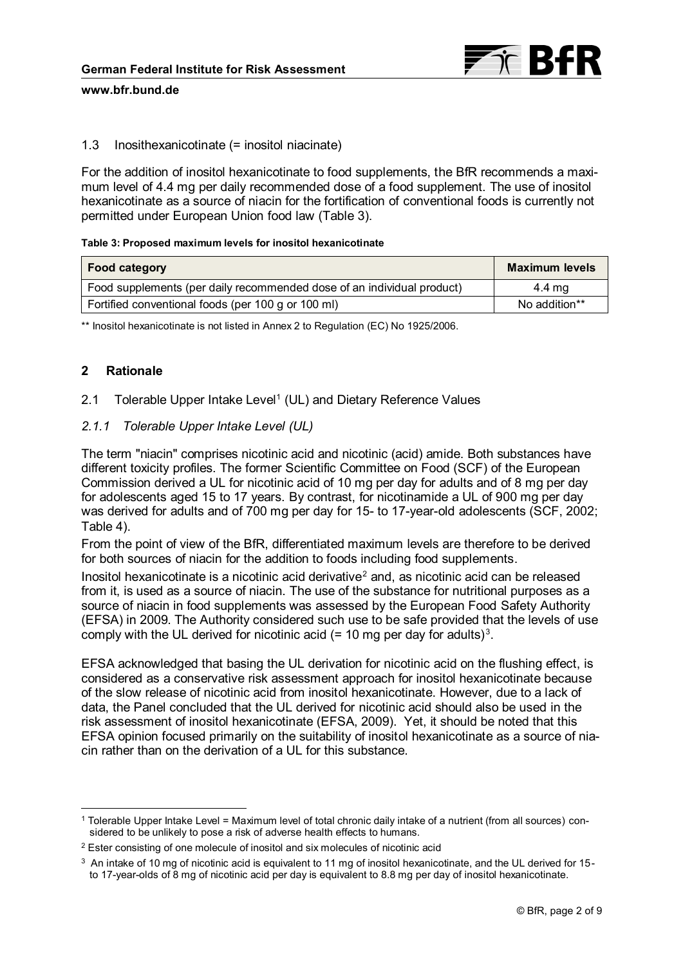

# 1.3 Inosithexanicotinate (= inositol niacinate)

For the addition of inositol hexanicotinate to food supplements, the BfR recommends a maximum level of 4.4 mg per daily recommended dose of a food supplement. The use of inositol hexanicotinate as a source of niacin for the fortification of conventional foods is currently not permitted under European Union food law (Table 3).

### **Table 3: Proposed maximum levels for inositol hexanicotinate**

| Food category                                                          | <b>Maximum levels</b> |
|------------------------------------------------------------------------|-----------------------|
| Food supplements (per daily recommended dose of an individual product) | 4.4 mg                |
| Fortified conventional foods (per 100 g or 100 ml)                     | No addition**         |

\*\* Inositol hexanicotinate is not listed in Annex 2 to Regulation (EC) No 1925/2006.

# **2 Rationale**

# 2.1 Tolerable Upper Intake Level<sup>1</sup> (UL) and Dietary Reference Values

# *2.1.1 Tolerable Upper Intake Level (UL)*

The term "niacin" comprises nicotinic acid and nicotinic (acid) amide. Both substances have different toxicity profiles. The former Scientific Committee on Food (SCF) of the European Commission derived a UL for nicotinic acid of 10 mg per day for adults and of 8 mg per day for adolescents aged 15 to 17 years. By contrast, for nicotinamide a UL of 900 mg per day was derived for adults and of 700 mg per day for 15- to 17-year-old adolescents (SCF, 2002; Table 4).

From the point of view of the BfR, differentiated maximum levels are therefore to be derived for both sources of niacin for the addition to foods including food supplements.

Inositol hexanicotinate is a nicotinic acid derivative $<sup>2</sup>$  and, as nicotinic acid can be released</sup> from it, is used as a source of niacin. The use of the substance for nutritional purposes as a source of niacin in food supplements was assessed by the European Food Safety Authority (EFSA) in 2009. The Authority considered such use to be safe provided that the levels of use comply with the UL derived for nicotinic acid (= 10 mg per day for adults)<sup>3</sup>.

EFSA acknowledged that basing the UL derivation for nicotinic acid on the flushing effect, is considered as a conservative risk assessment approach for inositol hexanicotinate because of the slow release of nicotinic acid from inositol hexanicotinate. However, due to a lack of data, the Panel concluded that the UL derived for nicotinic acid should also be used in the risk assessment of inositol hexanicotinate (EFSA, 2009). Yet, it should be noted that this EFSA opinion focused primarily on the suitability of inositol hexanicotinate as a source of niacin rather than on the derivation of a UL for this substance.

 $\overline{a}$ <sup>1</sup> Tolerable Upper Intake Level = Maximum level of total chronic daily intake of a nutrient (from all sources) considered to be unlikely to pose a risk of adverse health effects to humans.

<sup>&</sup>lt;sup>2</sup> Ester consisting of one molecule of inositol and six molecules of nicotinic acid

<sup>3</sup> An intake of 10 mg of nicotinic acid is equivalent to 11 mg of inositol hexanicotinate, and the UL derived for 15 to 17-year-olds of 8 mg of nicotinic acid per day is equivalent to 8.8 mg per day of inositol hexanicotinate.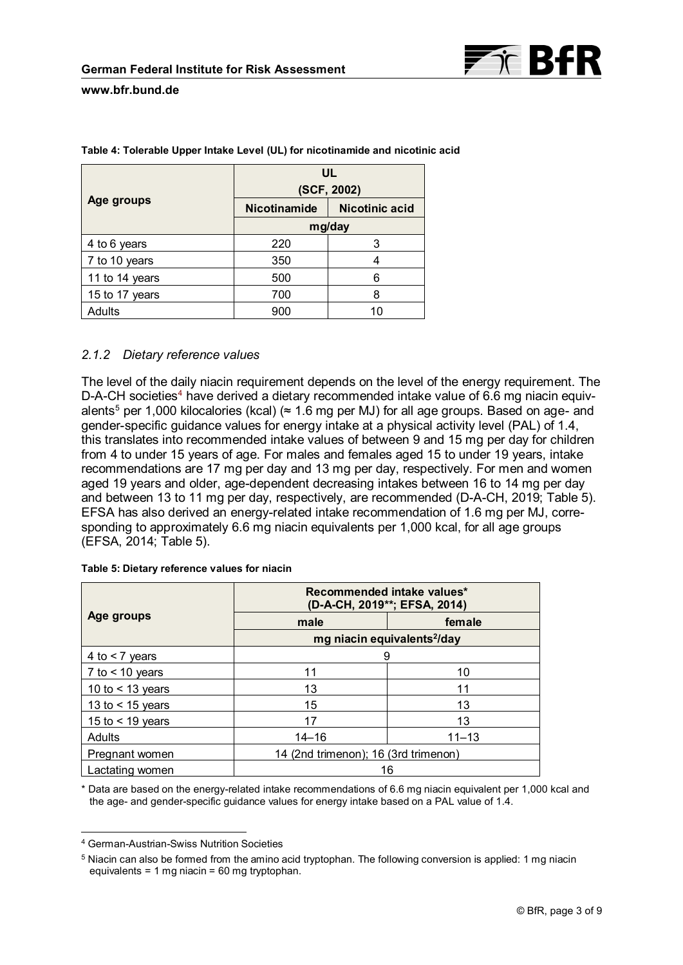

|                | UL<br>(SCF, 2002) |                       |  |  |
|----------------|-------------------|-----------------------|--|--|
| Age groups     | Nicotinamide      | <b>Nicotinic acid</b> |  |  |
|                | mg/day            |                       |  |  |
| 4 to 6 years   | 220               | 3                     |  |  |
| 7 to 10 years  | 350               |                       |  |  |
| 11 to 14 years | 500               | 6                     |  |  |
| 15 to 17 years | 700               | 8                     |  |  |
| Adults         | 900               | 10                    |  |  |

**Table 4: Tolerable Upper Intake Level (UL) for nicotinamide and nicotinic acid**

# *2.1.2 Dietary reference values*

The level of the daily niacin requirement depends on the level of the energy requirement. The D-A-CH societies<sup>4</sup> have derived a dietary recommended intake value of 6.6 mg niacin equivalents<sup>5</sup> per 1,000 kilocalories (kcal) ( $\approx$  1.6 mg per MJ) for all age groups. Based on age- and gender-specific guidance values for energy intake at a physical activity level (PAL) of 1.4, this translates into recommended intake values of between 9 and 15 mg per day for children from 4 to under 15 years of age. For males and females aged 15 to under 19 years, intake recommendations are 17 mg per day and 13 mg per day, respectively. For men and women aged 19 years and older, age-dependent decreasing intakes between 16 to 14 mg per day and between 13 to 11 mg per day, respectively, are recommended (D-A-CH, 2019; Table 5). EFSA has also derived an energy-related intake recommendation of 1.6 mg per MJ, corresponding to approximately 6.6 mg niacin equivalents per 1,000 kcal, for all age groups (EFSA, 2014; Table 5).

|                    | Recommended intake values*<br>(D-A-CH, 2019**; EFSA, 2014) |           |  |
|--------------------|------------------------------------------------------------|-----------|--|
| Age groups         | male                                                       | female    |  |
|                    | mg niacin equivalents <sup>2</sup> /day                    |           |  |
| 4 to $<$ 7 years   | 9                                                          |           |  |
| 7 to $<$ 10 years  | 11                                                         | 10        |  |
| 10 to $<$ 13 years | 13                                                         | 11        |  |
| 13 to $<$ 15 years | 15<br>13                                                   |           |  |
| 15 to $<$ 19 years | 17<br>13                                                   |           |  |
| <b>Adults</b>      | $14 - 16$                                                  | $11 - 13$ |  |
| Pregnant women     | 14 (2nd trimenon); 16 (3rd trimenon)                       |           |  |
| Lactating women    | 16                                                         |           |  |

**Table 5: Dietary reference values for niacin**

\* Data are based on the energy-related intake recommendations of 6.6 mg niacin equivalent per 1,000 kcal and the age- and gender-specific guidance values for energy intake based on a PAL value of 1.4.

 $\overline{a}$ 

<sup>4</sup> German-Austrian-Swiss Nutrition Societies

<sup>5</sup> Niacin can also be formed from the amino acid tryptophan. The following conversion is applied: 1 mg niacin equivalents = 1 mg niacin = 60 mg tryptophan.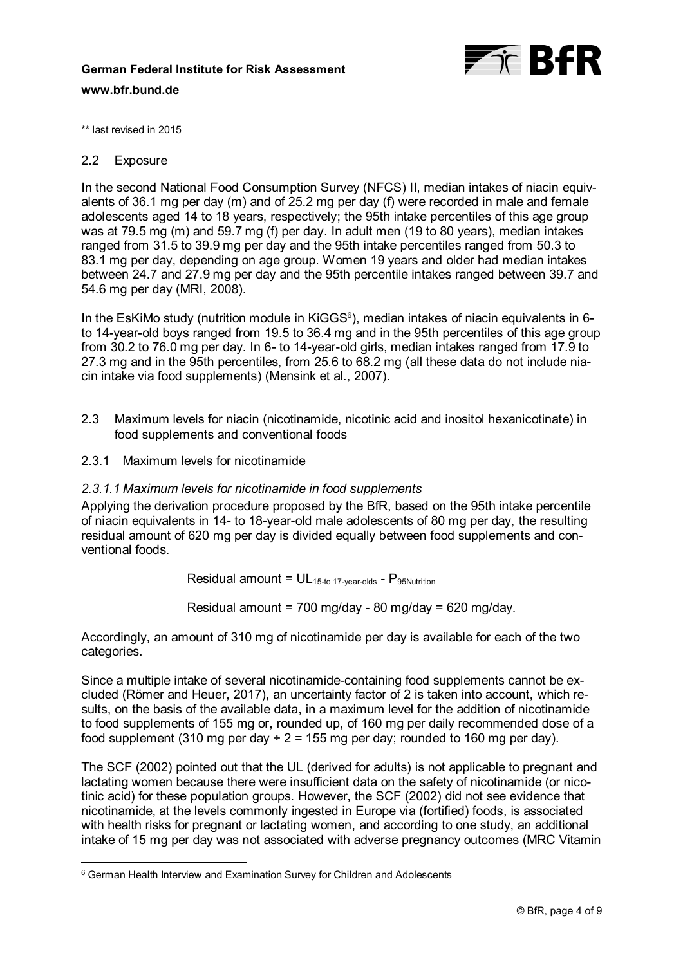

\*\* last revised in 2015

## 2.2 Exposure

 $\overline{a}$ 

In the second National Food Consumption Survey (NFCS) II, median intakes of niacin equivalents of 36.1 mg per day (m) and of 25.2 mg per day (f) were recorded in male and female adolescents aged 14 to 18 years, respectively; the 95th intake percentiles of this age group was at 79.5 mg (m) and 59.7 mg (f) per day. In adult men (19 to 80 years), median intakes ranged from 31.5 to 39.9 mg per day and the 95th intake percentiles ranged from 50.3 to 83.1 mg per day, depending on age group. Women 19 years and older had median intakes between 24.7 and 27.9 mg per day and the 95th percentile intakes ranged between 39.7 and 54.6 mg per day (MRI, 2008).

In the EsKiMo study (nutrition module in KiGGS $^{\rm 6})$ , median intakes of niacin equivalents in 6to 14-year-old boys ranged from 19.5 to 36.4 mg and in the 95th percentiles of this age group from 30.2 to 76.0 mg per day. In 6- to 14-year-old girls, median intakes ranged from 17.9 to 27.3 mg and in the 95th percentiles, from 25.6 to 68.2 mg (all these data do not include niacin intake via food supplements) (Mensink et al., 2007).

- 2.3 Maximum levels for niacin (nicotinamide, nicotinic acid and inositol hexanicotinate) in food supplements and conventional foods
- 2.3.1 Maximum levels for nicotinamide

## *2.3.1.1 Maximum levels for nicotinamide in food supplements*

Applying the derivation procedure proposed by the BfR, based on the 95th intake percentile of niacin equivalents in 14- to 18-year-old male adolescents of 80 mg per day, the resulting residual amount of 620 mg per day is divided equally between food supplements and conventional foods.

Residual amount =  $UL_{15-t0}$  17-year-olds -  $P_{95Nutrition}$ 

Residual amount = 700 mg/day - 80 mg/day = 620 mg/day.

Accordingly, an amount of 310 mg of nicotinamide per day is available for each of the two categories.

Since a multiple intake of several nicotinamide-containing food supplements cannot be excluded (Römer and Heuer, 2017), an uncertainty factor of 2 is taken into account, which results, on the basis of the available data, in a maximum level for the addition of nicotinamide to food supplements of 155 mg or, rounded up, of 160 mg per daily recommended dose of a food supplement (310 mg per day  $\div$  2 = 155 mg per day; rounded to 160 mg per day).

The SCF (2002) pointed out that the UL (derived for adults) is not applicable to pregnant and lactating women because there were insufficient data on the safety of nicotinamide (or nicotinic acid) for these population groups. However, the SCF (2002) did not see evidence that nicotinamide, at the levels commonly ingested in Europe via (fortified) foods, is associated with health risks for pregnant or lactating women, and according to one study, an additional intake of 15 mg per day was not associated with adverse pregnancy outcomes (MRC Vitamin

<sup>6</sup> German Health Interview and Examination Survey for Children and Adolescents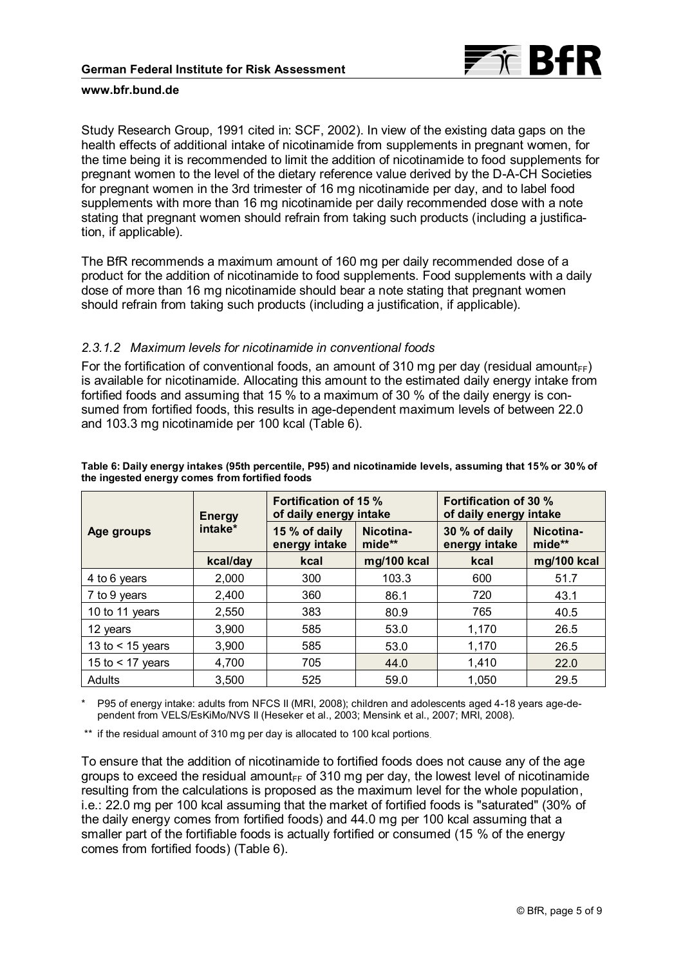

Study Research Group, 1991 cited in: SCF, 2002). In view of the existing data gaps on the health effects of additional intake of nicotinamide from supplements in pregnant women, for the time being it is recommended to limit the addition of nicotinamide to food supplements for pregnant women to the level of the dietary reference value derived by the D-A-CH Societies for pregnant women in the 3rd trimester of 16 mg nicotinamide per day, and to label food supplements with more than 16 mg nicotinamide per daily recommended dose with a note stating that pregnant women should refrain from taking such products (including a justification, if applicable).

The BfR recommends a maximum amount of 160 mg per daily recommended dose of a product for the addition of nicotinamide to food supplements. Food supplements with a daily dose of more than 16 mg nicotinamide should bear a note stating that pregnant women should refrain from taking such products (including a justification, if applicable).

### *2.3.1.2 Maximum levels for nicotinamide in conventional foods*

For the fortification of conventional foods, an amount of 310 mg per day (residual amount<sub>FF</sub>) is available for nicotinamide. Allocating this amount to the estimated daily energy intake from fortified foods and assuming that 15 % to a maximum of 30 % of the daily energy is consumed from fortified foods, this results in age-dependent maximum levels of between 22.0 and 103.3 mg nicotinamide per 100 kcal (Table 6).

|                    | <b>Energy</b> |                                | <b>Fortification of 15 %</b><br>of daily energy intake |                                | Fortification of 30 %<br>of daily energy intake |  |
|--------------------|---------------|--------------------------------|--------------------------------------------------------|--------------------------------|-------------------------------------------------|--|
| Age groups         | intake*       | 15 % of daily<br>energy intake | Nicotina-<br>mide**                                    | 30 % of daily<br>energy intake | Nicotina-<br>mide**                             |  |
|                    | kcal/day      | kcal                           | mg/100 kcal                                            | kcal                           | mg/100 kcal                                     |  |
| 4 to 6 years       | 2,000         | 300                            | 103.3                                                  | 600                            | 51.7                                            |  |
| 7 to 9 years       | 2,400         | 360                            | 86.1                                                   | 720                            | 43.1                                            |  |
| 10 to 11 years     | 2,550         | 383                            | 80.9                                                   | 765                            | 40.5                                            |  |
| 12 years           | 3,900         | 585                            | 53.0                                                   | 1,170                          | 26.5                                            |  |
| 13 to $<$ 15 years | 3.900         | 585                            | 53.0                                                   | 1,170                          | 26.5                                            |  |
| 15 to $<$ 17 years | 4,700         | 705                            | 44.0                                                   | 1,410                          | 22.0                                            |  |
| Adults             | 3,500         | 525                            | 59.0                                                   | 1,050                          | 29.5                                            |  |

#### **Table 6: Daily energy intakes (95th percentile, P95) and nicotinamide levels, assuming that 15% or 30% of the ingested energy comes from fortified foods**

P95 of energy intake: adults from NFCS II (MRI, 2008); children and adolescents aged 4-18 years age-dependent from VELS/EsKiMo/NVS II (Heseker et al., 2003; Mensink et al., 2007; MRI, 2008).

\*\* if the residual amount of 310 mg per day is allocated to 100 kcal portions.

To ensure that the addition of nicotinamide to fortified foods does not cause any of the age groups to exceed the residual amount $_{FF}$  of 310 mg per day, the lowest level of nicotinamide resulting from the calculations is proposed as the maximum level for the whole population, i.e.: 22.0 mg per 100 kcal assuming that the market of fortified foods is "saturated" (30% of the daily energy comes from fortified foods) and 44.0 mg per 100 kcal assuming that a smaller part of the fortifiable foods is actually fortified or consumed (15 % of the energy comes from fortified foods) (Table 6).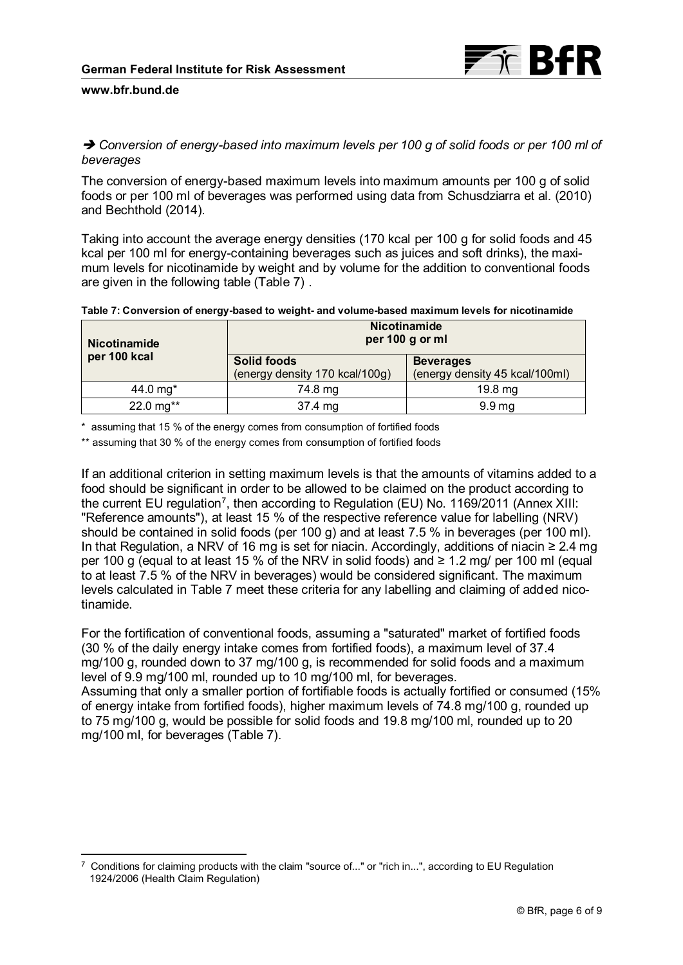

# *Conversion of energy-based into maximum levels per 100 g of solid foods or per 100 ml of beverages*

The conversion of energy-based maximum levels into maximum amounts per 100 g of solid foods or per 100 ml of beverages was performed using data from Schusdziarra et al. (2010) and Bechthold (2014).

Taking into account the average energy densities (170 kcal per 100 g for solid foods and 45 kcal per 100 ml for energy-containing beverages such as juices and soft drinks), the maximum levels for nicotinamide by weight and by volume for the addition to conventional foods are given in the following table (Table 7) .

| <b>Nicotinamide</b> | <b>Nicotinamide</b><br>per 100 g or ml               |                                                    |
|---------------------|------------------------------------------------------|----------------------------------------------------|
| per 100 kcal        | <b>Solid foods</b><br>(energy density 170 kcal/100g) | <b>Beverages</b><br>(energy density 45 kcal/100ml) |
| 44.0 mg $*$         | 74.8 mg                                              | 19.8 mg                                            |
| 22.0 mg**           | 37.4 mg                                              | 9.9 <sub>mg</sub>                                  |

\* assuming that 15 % of the energy comes from consumption of fortified foods

\*\* assuming that 30 % of the energy comes from consumption of fortified foods

If an additional criterion in setting maximum levels is that the amounts of vitamins added to a food should be significant in order to be allowed to be claimed on the product according to the current EU regulation<sup>7</sup>, then according to Regulation (EU) No. 1169/2011 (Annex XIII: "Reference amounts"), at least 15 % of the respective reference value for labelling (NRV) should be contained in solid foods (per 100 g) and at least 7.5 % in beverages (per 100 ml). In that Regulation, a NRV of 16 mg is set for niacin. Accordingly, additions of niacin ≥ 2.4 mg per 100 g (equal to at least 15 % of the NRV in solid foods) and  $\geq 1.2$  mg/ per 100 ml (equal to at least 7.5 % of the NRV in beverages) would be considered significant. The maximum levels calculated in Table 7 meet these criteria for any labelling and claiming of added nicotinamide.

For the fortification of conventional foods, assuming a "saturated" market of fortified foods (30 % of the daily energy intake comes from fortified foods), a maximum level of 37.4 mg/100 g, rounded down to 37 mg/100 g, is recommended for solid foods and a maximum level of 9.9 mg/100 ml, rounded up to 10 mg/100 ml, for beverages. Assuming that only a smaller portion of fortifiable foods is actually fortified or consumed (15% of energy intake from fortified foods), higher maximum levels of 74.8 mg/100 g, rounded up to 75 mg/100 g, would be possible for solid foods and 19.8 mg/100 ml, rounded up to 20

mg/100 ml, for beverages (Table 7).

 $\overline{a}$ 

<sup>7</sup> Conditions for claiming products with the claim "source of..." or "rich in...", according to EU Regulation 1924/2006 (Health Claim Regulation)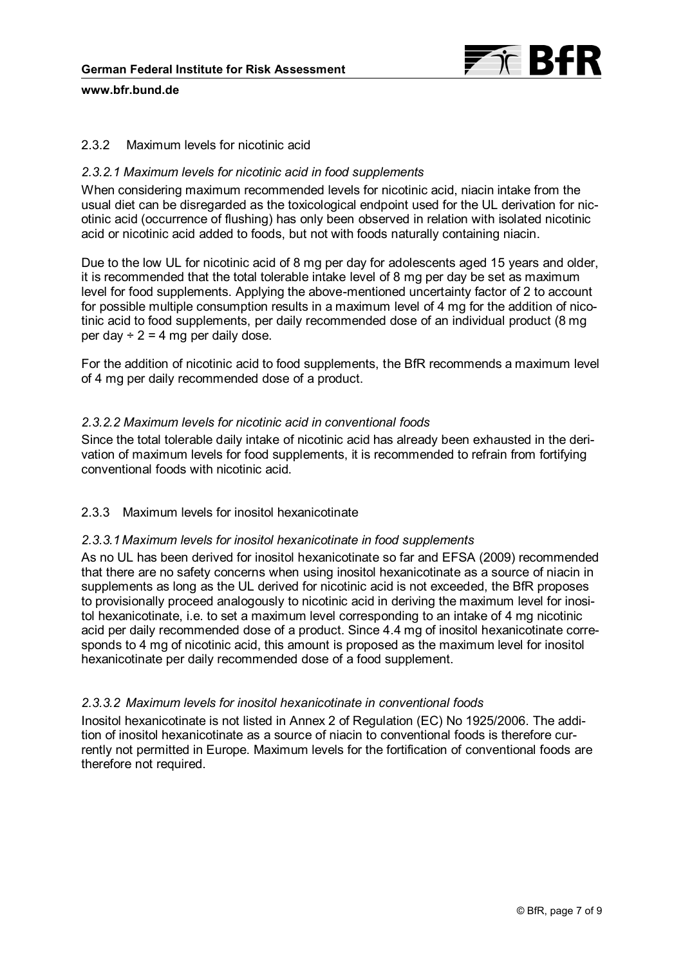

# 2.3.2 Maximum levels for nicotinic acid

## *2.3.2.1 Maximum levels for nicotinic acid in food supplements*

When considering maximum recommended levels for nicotinic acid, niacin intake from the usual diet can be disregarded as the toxicological endpoint used for the UL derivation for nicotinic acid (occurrence of flushing) has only been observed in relation with isolated nicotinic acid or nicotinic acid added to foods, but not with foods naturally containing niacin.

Due to the low UL for nicotinic acid of 8 mg per day for adolescents aged 15 years and older, it is recommended that the total tolerable intake level of 8 mg per day be set as maximum level for food supplements. Applying the above-mentioned uncertainty factor of 2 to account for possible multiple consumption results in a maximum level of 4 mg for the addition of nicotinic acid to food supplements, per daily recommended dose of an individual product (8 mg per day  $\div$  2 = 4 mg per daily dose.

For the addition of nicotinic acid to food supplements, the BfR recommends a maximum level of 4 mg per daily recommended dose of a product.

## *2.3.2.2 Maximum levels for nicotinic acid in conventional foods*

Since the total tolerable daily intake of nicotinic acid has already been exhausted in the derivation of maximum levels for food supplements, it is recommended to refrain from fortifying conventional foods with nicotinic acid.

# 2.3.3 Maximum levels for inositol hexanicotinate

### *2.3.3.1Maximum levels for inositol hexanicotinate in food supplements*

As no UL has been derived for inositol hexanicotinate so far and EFSA (2009) recommended that there are no safety concerns when using inositol hexanicotinate as a source of niacin in supplements as long as the UL derived for nicotinic acid is not exceeded, the BfR proposes to provisionally proceed analogously to nicotinic acid in deriving the maximum level for inositol hexanicotinate, i.e. to set a maximum level corresponding to an intake of 4 mg nicotinic acid per daily recommended dose of a product. Since 4.4 mg of inositol hexanicotinate corresponds to 4 mg of nicotinic acid, this amount is proposed as the maximum level for inositol hexanicotinate per daily recommended dose of a food supplement.

### *2.3.3.2 Maximum levels for inositol hexanicotinate in conventional foods*

Inositol hexanicotinate is not listed in Annex 2 of Regulation (EC) No 1925/2006. The addition of inositol hexanicotinate as a source of niacin to conventional foods is therefore currently not permitted in Europe. Maximum levels for the fortification of conventional foods are therefore not required.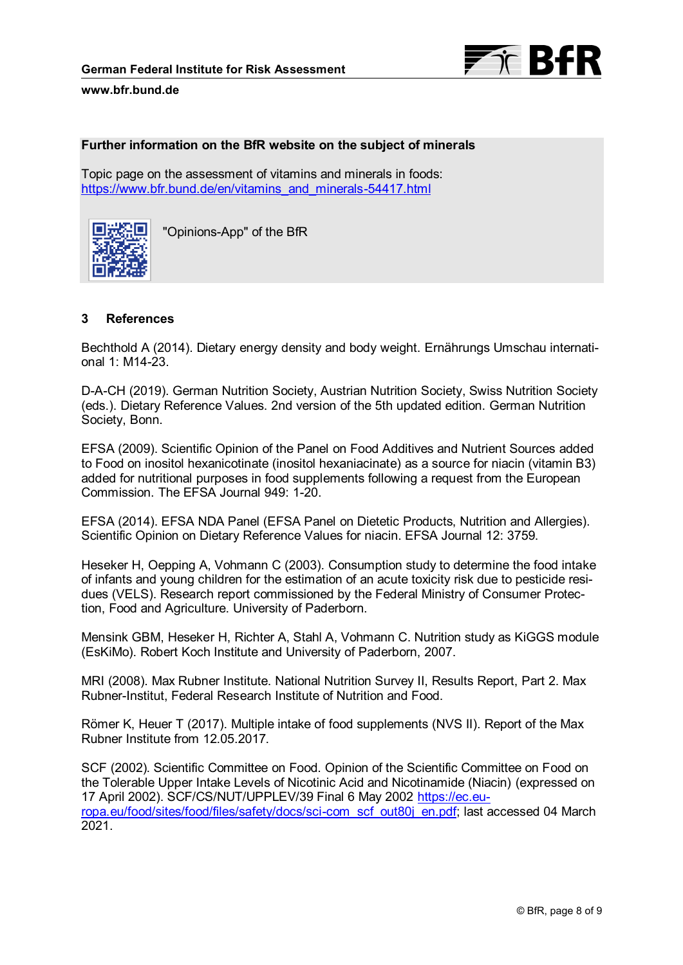



### **Further information on the BfR website on the subject of minerals**

Topic page on the assessment of vitamins and minerals in foods: [https://www.bfr.bund.de/en/vitamins\\_and\\_minerals-54417.html](https://www.bfr.bund.de/en/vitamins_and_minerals-54417.html)



"Opinions-App" of the BfR

## **3 References**

Bechthold A (2014). Dietary energy density and body weight. Ernährungs Umschau international 1: M14-23.

D-A-CH (2019). German Nutrition Society, Austrian Nutrition Society, Swiss Nutrition Society (eds.). Dietary Reference Values. 2nd version of the 5th updated edition. German Nutrition Society, Bonn.

EFSA (2009). Scientific Opinion of the Panel on Food Additives and Nutrient Sources added to Food on inositol hexanicotinate (inositol hexaniacinate) as a source for niacin (vitamin B3) added for nutritional purposes in food supplements following a request from the European Commission. The EFSA Journal 949: 1-20.

EFSA (2014). EFSA NDA Panel (EFSA Panel on Dietetic Products, Nutrition and Allergies). Scientific Opinion on Dietary Reference Values for niacin. EFSA Journal 12: 3759.

Heseker H, Oepping A, Vohmann C (2003). Consumption study to determine the food intake of infants and young children for the estimation of an acute toxicity risk due to pesticide residues (VELS). Research report commissioned by the Federal Ministry of Consumer Protection, Food and Agriculture. University of Paderborn.

Mensink GBM, Heseker H, Richter A, Stahl A, Vohmann C. Nutrition study as KiGGS module (EsKiMo). Robert Koch Institute and University of Paderborn, 2007.

MRI (2008). Max Rubner Institute. National Nutrition Survey II, Results Report, Part 2. Max Rubner-Institut, Federal Research Institute of Nutrition and Food.

Römer K, Heuer T (2017). Multiple intake of food supplements (NVS II). Report of the Max Rubner Institute from 12.05.2017.

SCF (2002). Scientific Committee on Food. Opinion of the Scientific Committee on Food on the Tolerable Upper Intake Levels of Nicotinic Acid and Nicotinamide (Niacin) (expressed on 17 April 2002). SCF/CS/NUT/UPPLEV/39 Final 6 May 2002 [https://ec.eu](https://ec.europa.eu/food/sites/food/files/safety/docs/sci-com_scf_out80j_en.pdf)[ropa.eu/food/sites/food/files/safety/docs/sci-com\\_scf\\_out80j\\_en.pdf;](https://ec.europa.eu/food/sites/food/files/safety/docs/sci-com_scf_out80j_en.pdf) last accessed 04 March 2021.